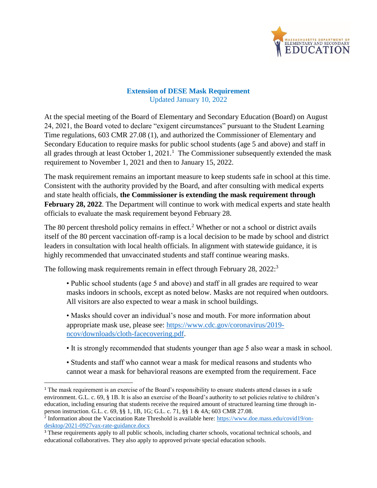

## **Extension of DESE Mask Requirement** Updated January 10, 2022

At the special meeting of the Board of Elementary and Secondary Education (Board) on August 24, 2021, the Board voted to declare "exigent circumstances" pursuant to the Student Learning Time regulations, 603 CMR 27.08 (1), and authorized the Commissioner of Elementary and Secondary Education to require masks for public school students (age 5 and above) and staff in all grades through at least October 1,  $2021$ .<sup>1</sup> The Commissioner subsequently extended the mask requirement to November 1, 2021 and then to January 15, 2022.

The mask requirement remains an important measure to keep students safe in school at this time. Consistent with the authority provided by the Board, and after consulting with medical experts and state health officials, **the Commissioner is extending the mask requirement through February 28, 2022**. The Department will continue to work with medical experts and state health officials to evaluate the mask requirement beyond February 28.

The 80 percent threshold policy remains in effect.<sup>2</sup> Whether or not a school or district avails itself of the 80 percent vaccination off-ramp is a local decision to be made by school and district leaders in consultation with local health officials. In alignment with statewide guidance, it is highly recommended that unvaccinated students and staff continue wearing masks.

The following mask requirements remain in effect through February 28, 2022:<sup>3</sup>

l

• Public school students (age 5 and above) and staff in all grades are required to wear masks indoors in schools, except as noted below. Masks are not required when outdoors. All visitors are also expected to wear a mask in school buildings.

• Masks should cover an individual's nose and mouth. For more information about appropriate mask use, please see: [https://www.cdc.gov/coronavirus/2019](https://www.cdc.gov/coronavirus/2019-ncov/downloads/cloth-facecovering.pdf) [ncov/downloads/cloth-facecovering.pdf.](https://www.cdc.gov/coronavirus/2019-ncov/downloads/cloth-facecovering.pdf)

- It is strongly recommended that students younger than age 5 also wear a mask in school.
- Students and staff who cannot wear a mask for medical reasons and students who cannot wear a mask for behavioral reasons are exempted from the requirement. Face

<sup>&</sup>lt;sup>1</sup> The mask requirement is an exercise of the Board's responsibility to ensure students attend classes in a safe environment. G.L. c. 69, § 1B. It is also an exercise of the Board's authority to set policies relative to children's education, including ensuring that students receive the required amount of structured learning time through inperson instruction. G.L. c. 69, §§ 1, 1B, 1G; G.L. c. 71, §§ 1 & 4A; 603 CMR 27.08.

<sup>&</sup>lt;sup>2</sup> Information about the Vaccination Rate Threshold is available here: [https://www.doe.mass.edu/covid19/on](https://www.doe.mass.edu/covid19/on-desktop/2021-0927vax-rate-guidance.docx)[desktop/2021-0927vax-rate-guidance.docx](https://www.doe.mass.edu/covid19/on-desktop/2021-0927vax-rate-guidance.docx)

<sup>&</sup>lt;sup>3</sup> These requirements apply to all public schools, including charter schools, vocational technical schools, and educational collaboratives. They also apply to approved private special education schools.